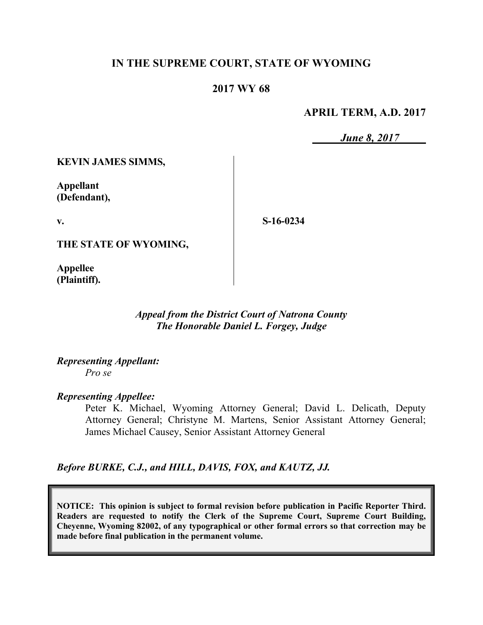## **IN THE SUPREME COURT, STATE OF WYOMING**

#### **2017 WY 68**

#### **APRIL TERM, A.D. 2017**

*June 8, 2017*

**KEVIN JAMES SIMMS,**

**Appellant (Defendant),**

**v.**

**S-16-0234**

**THE STATE OF WYOMING,**

**Appellee (Plaintiff).**

> *Appeal from the District Court of Natrona County The Honorable Daniel L. Forgey, Judge*

*Representing Appellant: Pro se*

*Representing Appellee:*

Peter K. Michael, Wyoming Attorney General; David L. Delicath, Deputy Attorney General; Christyne M. Martens, Senior Assistant Attorney General; James Michael Causey, Senior Assistant Attorney General

*Before BURKE, C.J., and HILL, DAVIS, FOX, and KAUTZ, JJ.*

**NOTICE: This opinion is subject to formal revision before publication in Pacific Reporter Third. Readers are requested to notify the Clerk of the Supreme Court, Supreme Court Building, Cheyenne, Wyoming 82002, of any typographical or other formal errors so that correction may be made before final publication in the permanent volume.**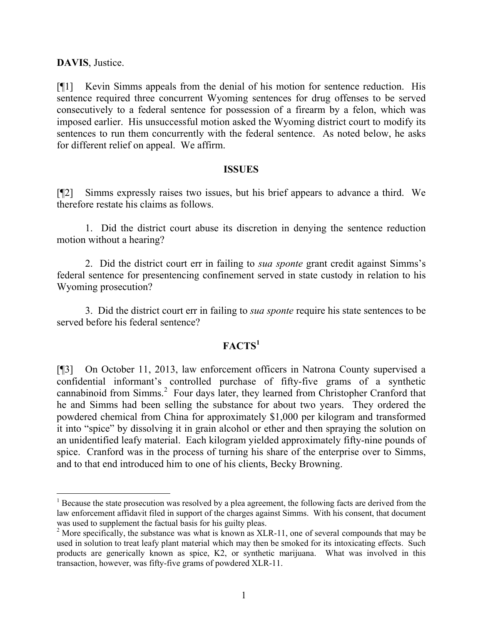#### **DAVIS**, Justice.

l

[¶1] Kevin Simms appeals from the denial of his motion for sentence reduction. His sentence required three concurrent Wyoming sentences for drug offenses to be served consecutively to a federal sentence for possession of a firearm by a felon, which was imposed earlier. His unsuccessful motion asked the Wyoming district court to modify its sentences to run them concurrently with the federal sentence. As noted below, he asks for different relief on appeal. We affirm.

#### **ISSUES**

[¶2] Simms expressly raises two issues, but his brief appears to advance a third. We therefore restate his claims as follows.

1. Did the district court abuse its discretion in denying the sentence reduction motion without a hearing?

2. Did the district court err in failing to *sua sponte* grant credit against Simms's federal sentence for presentencing confinement served in state custody in relation to his Wyoming prosecution?

3. Did the district court err in failing to *sua sponte* require his state sentences to be served before his federal sentence?

## **FACTS<sup>1</sup>**

[¶3] On October 11, 2013, law enforcement officers in Natrona County supervised a confidential informant's controlled purchase of fifty-five grams of a synthetic cannabinoid from Simms.<sup>2</sup> Four days later, they learned from Christopher Cranford that he and Simms had been selling the substance for about two years. They ordered the powdered chemical from China for approximately \$1,000 per kilogram and transformed it into "spice" by dissolving it in grain alcohol or ether and then spraying the solution on an unidentified leafy material. Each kilogram yielded approximately fifty-nine pounds of spice. Cranford was in the process of turning his share of the enterprise over to Simms, and to that end introduced him to one of his clients, Becky Browning.

<sup>&</sup>lt;sup>1</sup> Because the state prosecution was resolved by a plea agreement, the following facts are derived from the law enforcement affidavit filed in support of the charges against Simms. With his consent, that document was used to supplement the factual basis for his guilty pleas.

 $2$  More specifically, the substance was what is known as XLR-11, one of several compounds that may be used in solution to treat leafy plant material which may then be smoked for its intoxicating effects. Such products are generically known as spice, K2, or synthetic marijuana. What was involved in this transaction, however, was fifty-five grams of powdered XLR-11.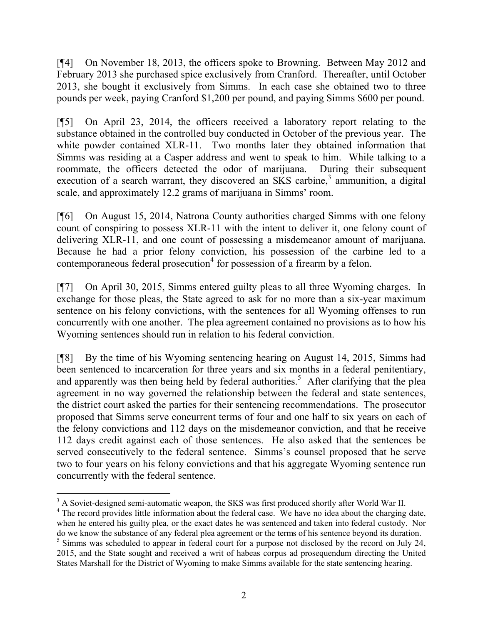[¶4] On November 18, 2013, the officers spoke to Browning. Between May 2012 and February 2013 she purchased spice exclusively from Cranford. Thereafter, until October 2013, she bought it exclusively from Simms. In each case she obtained two to three pounds per week, paying Cranford \$1,200 per pound, and paying Simms \$600 per pound.

[¶5] On April 23, 2014, the officers received a laboratory report relating to the substance obtained in the controlled buy conducted in October of the previous year. The white powder contained XLR-11. Two months later they obtained information that Simms was residing at a Casper address and went to speak to him. While talking to a roommate, the officers detected the odor of marijuana. During their subsequent execution of a search warrant, they discovered an SKS carbine, $3$  ammunition, a digital scale, and approximately 12.2 grams of marijuana in Simms' room.

[¶6] On August 15, 2014, Natrona County authorities charged Simms with one felony count of conspiring to possess XLR-11 with the intent to deliver it, one felony count of delivering XLR-11, and one count of possessing a misdemeanor amount of marijuana. Because he had a prior felony conviction, his possession of the carbine led to a contemporaneous federal prosecution<sup>4</sup> for possession of a firearm by a felon.

[¶7] On April 30, 2015, Simms entered guilty pleas to all three Wyoming charges. In exchange for those pleas, the State agreed to ask for no more than a six-year maximum sentence on his felony convictions, with the sentences for all Wyoming offenses to run concurrently with one another. The plea agreement contained no provisions as to how his Wyoming sentences should run in relation to his federal conviction.

[¶8] By the time of his Wyoming sentencing hearing on August 14, 2015, Simms had been sentenced to incarceration for three years and six months in a federal penitentiary, and apparently was then being held by federal authorities.<sup>5</sup> After clarifying that the plea agreement in no way governed the relationship between the federal and state sentences, the district court asked the parties for their sentencing recommendations. The prosecutor proposed that Simms serve concurrent terms of four and one half to six years on each of the felony convictions and 112 days on the misdemeanor conviction, and that he receive 112 days credit against each of those sentences. He also asked that the sentences be served consecutively to the federal sentence. Simms's counsel proposed that he serve two to four years on his felony convictions and that his aggregate Wyoming sentence run concurrently with the federal sentence.

l

<sup>&</sup>lt;sup>3</sup> A Soviet-designed semi-automatic weapon, the SKS was first produced shortly after World War II.

<sup>&</sup>lt;sup>4</sup> The record provides little information about the federal case. We have no idea about the charging date, when he entered his guilty plea, or the exact dates he was sentenced and taken into federal custody. Nor do we know the substance of any federal plea agreement or the terms of his sentence beyond its duration. <sup>5</sup> Simms was scheduled to appear in federal court for a purpose not disclosed by the record on July 24, 2015, and the State sought and received a writ of habeas corpus ad prosequendum directing the United States Marshall for the District of Wyoming to make Simms available for the state sentencing hearing.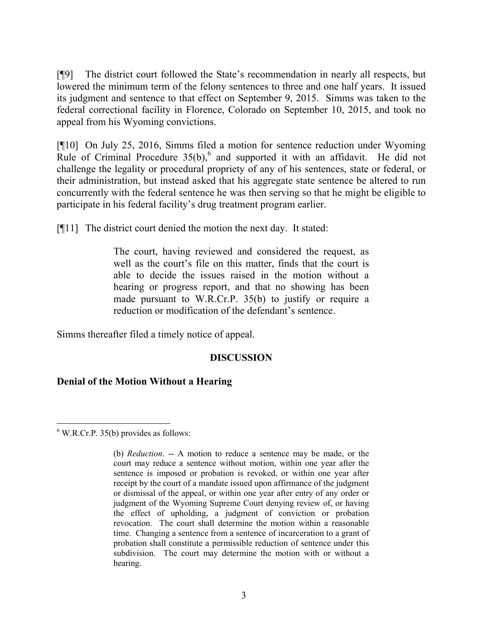[¶9] The district court followed the State's recommendation in nearly all respects, but lowered the minimum term of the felony sentences to three and one half years. It issued its judgment and sentence to that effect on September 9, 2015. Simms was taken to the federal correctional facility in Florence, Colorado on September 10, 2015, and took no appeal from his Wyoming convictions.

[¶10] On July 25, 2016, Simms filed a motion for sentence reduction under Wyoming Rule of Criminal Procedure  $35(b)$ , and supported it with an affidavit. He did not challenge the legality or procedural propriety of any of his sentences, state or federal, or their administration, but instead asked that his aggregate state sentence be altered to run concurrently with the federal sentence he was then serving so that he might be eligible to participate in his federal facility's drug treatment program earlier.

[¶11] The district court denied the motion the next day. It stated:

The court, having reviewed and considered the request, as well as the court's file on this matter, finds that the court is able to decide the issues raised in the motion without a hearing or progress report, and that no showing has been made pursuant to W.R.Cr.P. 35(b) to justify or require a reduction or modification of the defendant's sentence.

Simms thereafter filed a timely notice of appeal.

## **DISCUSSION**

## **Denial of the Motion Without a Hearing**

 $6$  W.R.Cr.P. 35(b) provides as follows:

 $\overline{a}$ 

<sup>(</sup>b) *Reduction*. -- A motion to reduce a sentence may be made, or the court may reduce a sentence without motion, within one year after the sentence is imposed or probation is revoked, or within one year after receipt by the court of a mandate issued upon affirmance of the judgment or dismissal of the appeal, or within one year after entry of any order or judgment of the Wyoming Supreme Court denying review of, or having the effect of upholding, a judgment of conviction or probation revocation. The court shall determine the motion within a reasonable time. Changing a sentence from a sentence of incarceration to a grant of probation shall constitute a permissible reduction of sentence under this subdivision. The court may determine the motion with or without a hearing.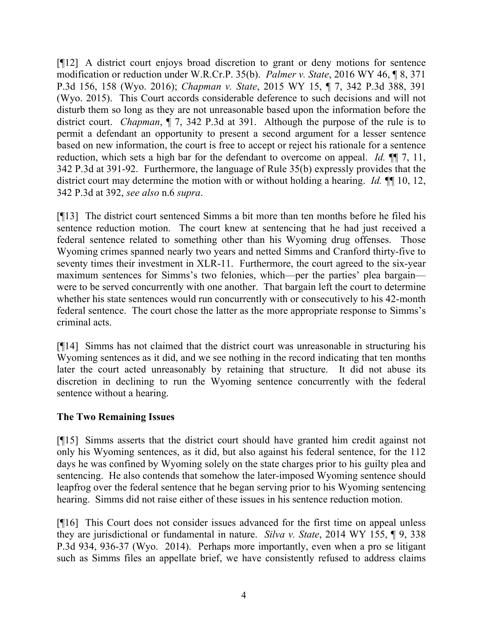[¶12] A district court enjoys broad discretion to grant or deny motions for sentence modification or reduction under W.R.Cr.P. 35(b). *Palmer v. State*, 2016 WY 46, ¶ 8, 371 P.3d 156, 158 (Wyo. 2016); *Chapman v. State*, 2015 WY 15, ¶ 7, 342 P.3d 388, 391 (Wyo. 2015). This Court accords considerable deference to such decisions and will not disturb them so long as they are not unreasonable based upon the information before the district court. *Chapman*, ¶ 7, 342 P.3d at 391. Although the purpose of the rule is to permit a defendant an opportunity to present a second argument for a lesser sentence based on new information, the court is free to accept or reject his rationale for a sentence reduction, which sets a high bar for the defendant to overcome on appeal. *Id.* ¶¶ 7, 11, 342 P.3d at 391-92. Furthermore, the language of Rule 35(b) expressly provides that the district court may determine the motion with or without holding a hearing. *Id.* ¶¶ 10, 12, 342 P.3d at 392, *see also* n.6 *supra*.

[¶13] The district court sentenced Simms a bit more than ten months before he filed his sentence reduction motion. The court knew at sentencing that he had just received a federal sentence related to something other than his Wyoming drug offenses. Those Wyoming crimes spanned nearly two years and netted Simms and Cranford thirty-five to seventy times their investment in XLR-11. Furthermore, the court agreed to the six-year maximum sentences for Simms's two felonies, which—per the parties' plea bargain were to be served concurrently with one another. That bargain left the court to determine whether his state sentences would run concurrently with or consecutively to his 42-month federal sentence. The court chose the latter as the more appropriate response to Simms's criminal acts.

[¶14] Simms has not claimed that the district court was unreasonable in structuring his Wyoming sentences as it did, and we see nothing in the record indicating that ten months later the court acted unreasonably by retaining that structure. It did not abuse its discretion in declining to run the Wyoming sentence concurrently with the federal sentence without a hearing.

## **The Two Remaining Issues**

[¶15] Simms asserts that the district court should have granted him credit against not only his Wyoming sentences, as it did, but also against his federal sentence, for the 112 days he was confined by Wyoming solely on the state charges prior to his guilty plea and sentencing. He also contends that somehow the later-imposed Wyoming sentence should leapfrog over the federal sentence that he began serving prior to his Wyoming sentencing hearing. Simms did not raise either of these issues in his sentence reduction motion.

[¶16] This Court does not consider issues advanced for the first time on appeal unless they are jurisdictional or fundamental in nature. *Silva v. State*, 2014 WY 155, ¶ 9, 338 P.3d 934, 936-37 (Wyo. 2014). Perhaps more importantly, even when a pro se litigant such as Simms files an appellate brief, we have consistently refused to address claims